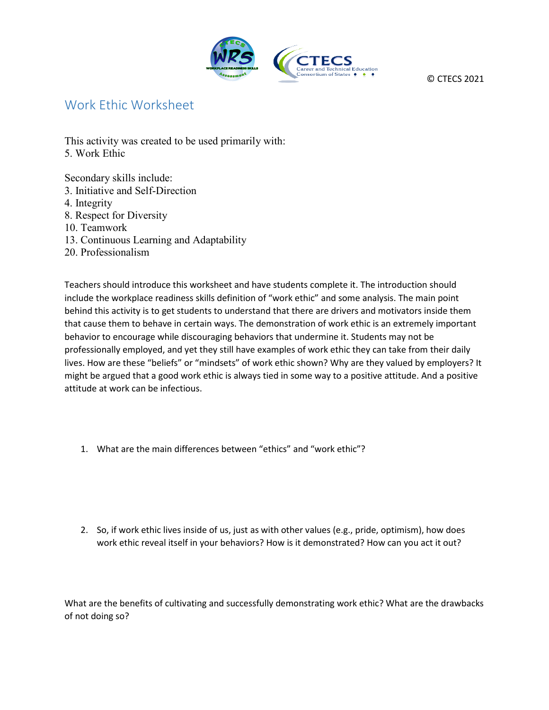

© CTECS 2021

## Work Ethic Worksheet

This activity was created to be used primarily with: 5. Work Ethic

Secondary skills include: 3. Initiative and Self-Direction 4. Integrity 8. Respect for Diversity 10. Teamwork 13. Continuous Learning and Adaptability 20. Professionalism

Teachers should introduce this worksheet and have students complete it. The introduction should include the workplace readiness skills definition of "work ethic" and some analysis. The main point behind this activity is to get students to understand that there are drivers and motivators inside them that cause them to behave in certain ways. The demonstration of work ethic is an extremely important behavior to encourage while discouraging behaviors that undermine it. Students may not be professionally employed, and yet they still have examples of work ethic they can take from their daily lives. How are these "beliefs" or "mindsets" of work ethic shown? Why are they valued by employers? It might be argued that a good work ethic is always tied in some way to a positive attitude. And a positive attitude at work can be infectious.

- 1. What are the main differences between "ethics" and "work ethic"?
- 2. So, if work ethic lives inside of us, just as with other values (e.g., pride, optimism), how does work ethic reveal itself in your behaviors? How is it demonstrated? How can you act it out?

What are the benefits of cultivating and successfully demonstrating work ethic? What are the drawbacks of not doing so?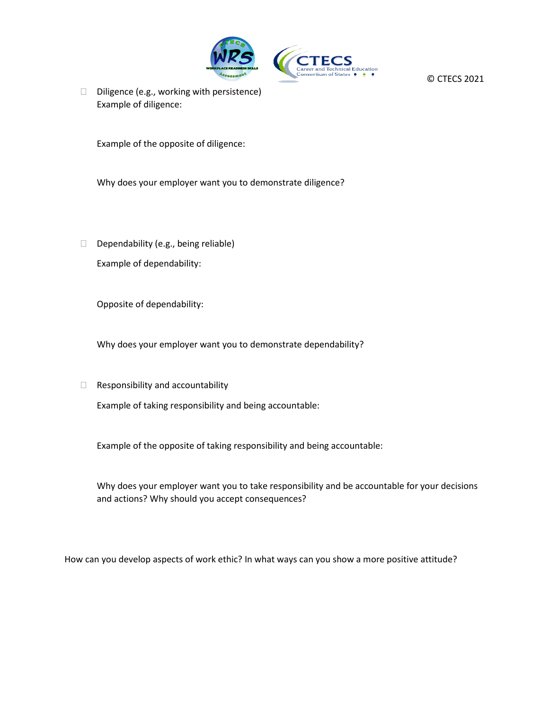

© CTECS 2021

 $\Box$  Diligence (e.g., working with persistence) Example of diligence:

Example of the opposite of diligence:

Why does your employer want you to demonstrate diligence?

Dependability (e.g., being reliable) Example of dependability:

Opposite of dependability:

Why does your employer want you to demonstrate dependability?

 $\Box$  Responsibility and accountability

Example of taking responsibility and being accountable:

Example of the opposite of taking responsibility and being accountable:

Why does your employer want you to take responsibility and be accountable for your decisions and actions? Why should you accept consequences?

How can you develop aspects of work ethic? In what ways can you show a more positive attitude?